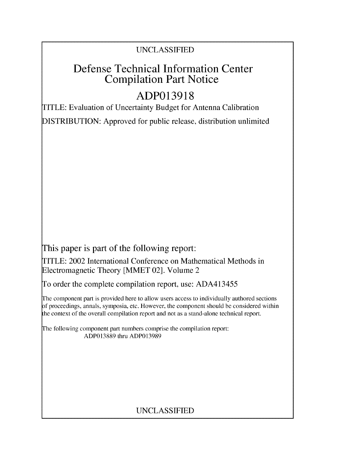### UNCLASSIFIED

## Defense Technical Information Center Compilation Part Notice

# **ADP013918**

TITLE: Evaluation of Uncertainty Budget for Antenna Calibration

DISTRIBUTION: Approved for public release, distribution unlimited

This paper is part of the following report:

TITLE: 2002 International Conference on Mathematical Methods in Electromagnetic Theory [MMET 02]. Volume 2

To order the complete compilation report, use: ADA413455

The component part is provided here to allow users access to individually authored sections f proceedings, annals, symposia, etc. However, the component should be considered within the context of the overall compilation report and not as a stand-alone technical report.

The following component part numbers comprise the compilation report: ADP013889 thru ADP013989

## UNCLASSIFIED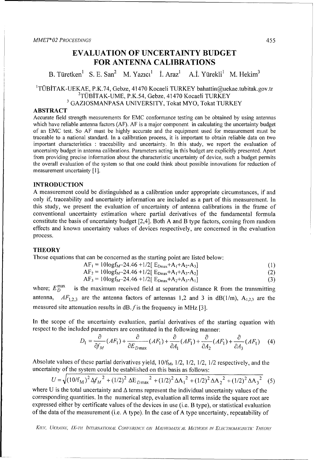### **EVALUATION** OF **UNCERTAINTY BUDGET** FOR **ANTENNA CALIBRATIONS**

B. Türetken<sup>1</sup> S. E. San<sup>2</sup> M. Yazıcı<sup>1</sup> İ. Araz<sup>1</sup> A.İ. Yürekli<sup>1</sup> M. Hekim<sup>3</sup>

#### TÜBİTAK-UEKAE, P.K.74, Gebze, 41470 Kocaeli TURKEY bahattin@uekae.tubitak.gov.t  $2$ TÜBİTAK-UME, P.K.54, Gebze, 41470 Kocaeli TURKEY <sup>3</sup> GAZIOSMANPASA UNIVERSITY, Tokat MYO, Tokat TURKEY

#### ABSTRACT

Accurate field strength measurements for EMC conformance testing can be obtained by using antennas which have reliable antenna factors (AF). AF is a major component in calculating the uncertainty budget of an EMC test. So AF must be highly accurate and the equipment used for measurement must be traceable to a national standard. In a calibration process, it is important to obtain reliable data on two important characteristics : traceability and uncertainty. In this study, we report the evaluation of uncertainty budget in antenna calibrations. Parameters acting in this budget are explicitly presented. Apart from providing precise information about the characteristic uncertainty of device, such a budget permits the overall evaluation of the system so that one could think about possible innovations for reduction of measurement uncertainty [1].

#### **INTRODUCTION**

A measurement could be distinguished as a calibration under appropriate circumstances, if and only if, traceability and uncertainty information are included as a part of this measurement. In this study, we present the evaluation of uncertainty of antenna calibrations in the frame of conventional uncertainty estimation where partial derivatives of the fundamental formula constitute the basis of uncertainty budget [2,4]. Both A and B type factors, coming from random effects and known uncertainty values of devices respectively, are concerned in the evaluation process.

#### **THEORY**

Those equations that can be concerned as the starting point are listed below:

$$
AF_1 = 10\log f_{M} - 24.46 + 1/2[E_{Dmax} + A_1 + A_2 - A_3]
$$
 (1)

$$
AF_2 = 10\log f_{M} - 24.46 + 1/2 [E_{Dmax} + A_1 + A_3 - A_2]
$$
  
\n
$$
AF_3 = 10\log f_{M} - 24.46 + 1/2 [E_{Dmax} + A_2 + A_3 - A_1]
$$
\n(2)

where;  $E_D^{\text{max}}$  is the maximum received field at separation distance R from the transmitting

antenna,  $AF_{1,2,3}$  are the antenna factors of antennas 1,2 and 3 in dB(1/m), A<sub>1,2,3</sub> are the measured site attenuation results in dB.  $f$  is the frequency in MHz [3].

In the scope of the uncertainty evaluation, partial derivatives of the starting equation with respect to the included parameters are constituted in the following manner:

$$
D_1 = \frac{\partial}{\partial f_M} (AF_1) + \frac{\partial}{\partial E_{D_{\text{max}}}} (AF_1) + \frac{\partial}{\partial A_1} (AF_1) + \frac{\partial}{\partial A_2} (AF_1) + \frac{\partial}{\partial A_3} (AF_1) \tag{4}
$$

Absolute values of these partial derivatives yield,  $10/f<sub>M</sub>$ ,  $1/2$ ,  $1/2$ ,  $1/2$ ,  $1/2$  respectively, and the uncertainty of the system could be established on this basis as follows:

$$
U = \sqrt{(10/f_{\text{M}})^2 \Delta f_M^2 + (1/2)^2 \Delta E_{D\text{max}}^2 + (1/2)^2 \Delta A_1^2 + (1/2)^2 \Delta A_2^2 + (1/2)^2 \Delta A_3^2}
$$
 (5)

where U is the total uncertainty and  $\Delta$  terms represent the individual uncertainty values of the corresponding quantities. In the numerical step, evaluation all terms inside the square root are expressed either by certificate values of the devices in use (i.e. B type), or statistical evaluation of the data of the measurement (i.e. A type). In the case of A type uncertainty, repeatability of

KIEV, UKRAINE, IX-TH INTERNATIONAL CONFERENCE ON MATHEMATICAL METHODS IN ELECTROMAGNETIC THEORY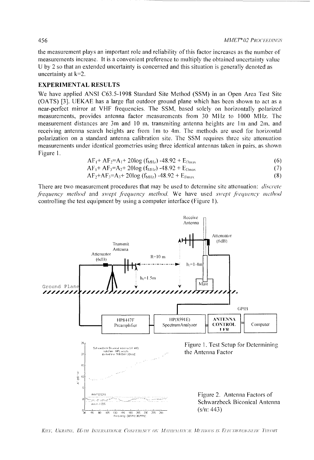the measurement plays an important role and reliability of this factor increases as the number of measurements increase. It is a convenient preference to multiply the obtained uncertainty value U by 2 so that an extended uncertainty is concerned and this situation is generally denoted as uncertainty at k=2.

#### EXPERIMENTAL **RESULTS**

We have applied ANSI C63.5-1998 Standard Site Method (SSM) in an Open Area Test Site (OATS) [3]. UEKAE has a large flat outdoor ground plane which has been shown to act as a near-perfect mirror at VHF frequencies. The SSM, based solely on horizontally polarized measurements, provides antenna factor measurements from 30 MHz to 1000 MHz. The measurement distances are 3m and 10 m, transmiting antenna heights are 1m and 2m, and receiving antenna search heights are from Im to 4m. The methods are used for horizontal polarization on a standard antenna calibration site. The SSM requires three site attenuation measurements under identical geometries using three identical antennas taken in pairs, as shown Figure 1.

$$
AF_1 + AF_2 = A_1 + 20 \log (f_{\text{MHz}}) - 48.92 + E_{\text{Dmax}} \tag{6}
$$

$$
AF_1 + AF_3 = A_2 + 20\log(f_{\text{MHz}}) - 48.92 + E_{\text{Dmax}} \tag{7}
$$

$$
AF_2 + AF_3 = A_3 + 20\log(f_{\text{MHz}}) - 48.92 + E_{\text{Dmax}} \tag{8}
$$

There are two measurement procedures that may be used to determine site attenuation: *discrete fiequency method* and *swept frequency method.* We have used *swept fiequencv method* controlling the test equipment by using a computer interface (Figure 1).



*KIn* , *KIn.-I /.\,* . <sup>77</sup>I ITh) *\".7 I. (IO,'oRhIh 'h"'1 OV ONI('.I7* AJr I / I.! **UM A tI., IAI/D !0)/)S iN (1C** 1.h7?0A)A,\.(iIhI( *D nI/IhOk*